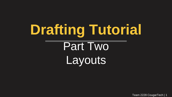# **Drafting Tutorial**  Part Two Layouts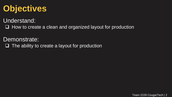#### **Objectives**

Understand:

 $\Box$  How to create a clean and organized layout for production

Demonstrate:

 $\Box$  The ability to create a layout for production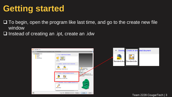### **Getting started**

 $\Box$  To begin, open the program like last time, and go to the create new file window

 $\square$  Instead of creating an .ipt, create an .idw

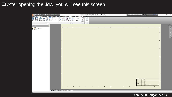#### After opening the .idw, you will see this screen

|                                                                                                                                                                                                                                                                                                                                                                                                                  | LE PIN⊿AE - SDE +                                                                                                                          |                         |                                                        |             |                                      |                                     |                                                           | Autodesk Inventor Professional 2016 - STUDENT VERSION Drawing1 |   |  |      |                     | $-2C$ 0 -       | $ \Box$ | $\mathsf{X}$              |
|------------------------------------------------------------------------------------------------------------------------------------------------------------------------------------------------------------------------------------------------------------------------------------------------------------------------------------------------------------------------------------------------------------------|--------------------------------------------------------------------------------------------------------------------------------------------|-------------------------|--------------------------------------------------------|-------------|--------------------------------------|-------------------------------------|-----------------------------------------------------------|----------------------------------------------------------------|---|--|------|---------------------|-----------------|---------|---------------------------|
| Place View:                                                                                                                                                                                                                                                                                                                                                                                                      | Tools Manage View Environments Get Started<br>Sketch<br>Annotate<br>Base Projected Auxiliary Section Detail Overlay Socionnector<br>Create | $\overline{\mathbb{Z}}$ | $\Rightarrow$<br>肉<br>Draft Break Break Out Slice Crop | ₽<br>Modify | Vault<br>다리<br>Horizontal<br>$\cdot$ | Autodesk A360<br>$\nabla$<br>Sketch | $\bullet$ .<br>$\Box$<br>Start New Sheet<br>Sketch Sheets |                                                                |   |  |      |                     |                 |         |                           |
| Model $\blacktriangledown$<br>$\begin{tabular}{ c c } \hline \hline \rule{0pt}{2.5ex} \rule{0pt}{2.5ex} \rule{0pt}{2.5ex} \rule{0pt}{2.5ex} \rule{0pt}{2.5ex} \rule{0pt}{2.5ex} \rule{0pt}{2.5ex} \rule{0pt}{2.5ex} \rule{0pt}{2.5ex} \rule{0pt}{2.5ex} \rule{0pt}{2.5ex} \rule{0pt}{2.5ex} \rule{0pt}{2.5ex} \rule{0pt}{2.5ex} \rule{0pt}{2.5ex} \rule{0pt}{2.5ex} \rule{0pt}{2.5ex} \rule{0pt}{2.5ex} \rule{0$ | $\rightarrow$ x<br>$\boxed{2}$<br><b>PartLipt</b> Drawing1 <sup>88</sup>                                                                   |                         |                                                        |             |                                      |                                     |                                                           |                                                                | ቶ |  | 1200 | <b>ACCELAR</b><br>D | <b>HET L OF</b> |         | $-$ 6 $\times$<br>$\circ$ |
|                                                                                                                                                                                                                                                                                                                                                                                                                  |                                                                                                                                            |                         |                                                        |             |                                      |                                     |                                                           |                                                                |   |  |      |                     |                 |         |                           |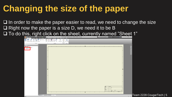### **Changing the size of the paper**

 $\Box$  In order to make the paper easier to read, we need to change the size  $\Box$  Right now the paper is a size D, we need it to be B

 $\square$  To do this, right click on the sheet, currently named "Sheet 1"

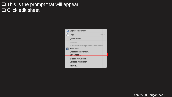#### $\Box$  This is the prompt that will appear **Q** Click edit sheet

| Repeat New Sheet                                                                   |             |
|------------------------------------------------------------------------------------|-------------|
| Copy                                                                               | $Ctr$ + $C$ |
| Delete Sheet                                                                       |             |
| Activate<br>Auto-Reattach Orphaned Annotations<br>Base View<br>Create Sheet Format |             |
| Edit Sheet                                                                         |             |
| Expand All Children<br>Collapse All Children                                       |             |
| How To                                                                             |             |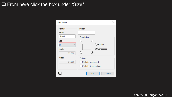#### □ From here click the box under "Size"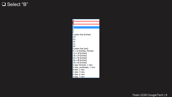#### □ Select "B"

B  $\overline{\mathsf{c}}$ D E F Custom Size (inches)  $\frac{A4}{A3}$ A<sub>2</sub> A<sub>1</sub> A<sub>0</sub> Custom Size (mm) 9 x 12 (inches), Portrait  $12 \times 18$  (inches) 18 x 24 (inches) 24 x 36 (inches) 36 x 48 (inches) 30 x 42 (inches) A size, Portrait, 1 view A size, Landscape, 1 view B size, 2 view C size, 4 view D size, 6 view E size, 7 view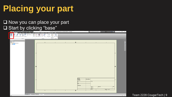### **Placing your part**

#### $\Box$  Now you can place your part **Q** Start by clicking "base"

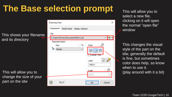### **The Base selection prompt**

This shows your filename and its directory

This will allow you to change the size of your part on the idw

| <b>Drawing View</b>                         | × |
|---------------------------------------------|---|
| Component<br>Model State<br>Display Options |   |
| File                                        |   |
| C:\Users\Owner\Documents\Part1.ipt          |   |
| Representation                              |   |
| g.<br>Style<br>View                         |   |
| ŀŀ<br>Master<br>$\checkmark$                |   |
| Kaster View                                 |   |
| ١.<br>Label                                 |   |
| VIEW1                                       |   |
| <b>Scale</b>                                |   |
| 1:1                                         |   |
|                                             |   |
| 2<br>OK<br>Cancel                           |   |

This will allow you to select a new file, clicking on it will open the normal "open file" window

This changes the visual style of the part on the idw, generally the default is fine, but sometimes color does help, so know when to use it. (play around with it a bit)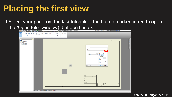#### **Placing the first view**

 $\Box$  Select your part from the last tutorial(hit the button marked in red to open the "Open File" window), but don't hit ok

| ■→ を見らせ百事→→ 多め混ん                                                                                                                                                                       | . .<br>Autodesk Inventor Professional 2016 - STUDENT VERSION Part1                                                                                                                                                                                                                                    | > Search Help & Commands   S < Q Sign In<br>$-23$ 0 $-$<br>$ \sigma$ $\times$                                                                                                                                                                                                                                                                                                                                                                                                                                         |
|----------------------------------------------------------------------------------------------------------------------------------------------------------------------------------------|-------------------------------------------------------------------------------------------------------------------------------------------------------------------------------------------------------------------------------------------------------------------------------------------------------|-----------------------------------------------------------------------------------------------------------------------------------------------------------------------------------------------------------------------------------------------------------------------------------------------------------------------------------------------------------------------------------------------------------------------------------------------------------------------------------------------------------------------|
| Manage<br>Place View<br>O<br>E<br>Nailboard<br>۱۳<br>Ŵ<br>$\mathbb{R}$<br>Connector<br>Base Projected Auxiliary Section Detail Overlay<br>Create                                       | $\overline{\mathbf{a}}$<br>View Environments<br>Autodesk A360<br><b>Get Started</b><br><b>Vault</b><br>$\overline{\mathbb{Z}}$<br>≈<br>回<br>$\nabla$<br>٦<br>$\rightarrow$<br>₽<br>Draft Break Break Out Slice Crop<br>Start New Sheet<br><b>Break Alignment</b><br>Sketch<br>Modify<br>Sketch Sheets |                                                                                                                                                                                                                                                                                                                                                                                                                                                                                                                       |
| i s<br>$\boxed{2}$<br>Model $\blacktriangledown$<br><b>Part1</b><br><sup>El Part1</sup> Drawing Resources<br>$\leftarrow$ Meet: 1<br>- CJ Default Border<br>- La ANSI - Large<br>Ready | $\ddot{\phantom{1}}$<br>$\overline{a}$<br>B<br>$\Rightarrow$<br>FRONT<br><b>DRAWN</b><br>Owner<br>CHECKED<br>$\Lambda$<br><b>QA</b><br>MFG<br>APPROVED<br>ቶ<br>4<br><b>ESSECT * My Home</b> Partlipt partipt part Part1 <sup>11</sup>                                                                 | $ \theta$ x<br>u,<br>$\mathbf{Q}_k^{\pm}$<br><b>Drawing View</b><br>$\alpha$<br>91<br>Component Model State Display Options<br>File<br>E<br>C:\Lisers\Owner\Documents\Part1.ipt<br>Representation<br>$\Box$ $\partial_k$ style $\Box$<br>View<br>L- Master<br>$\check{~}$<br>99<br>Raster View<br>$\sqrt{2}$<br>Label<br><b>VIEWS</b><br>口语<br>Scale<br>1:1<br>$\sim$<br>⊭<br>$Q = 6\pi$<br>OK<br>Cancel<br>8/27/2016<br>TITLE<br><b>DWG NO</b><br>REV<br>SIZE<br>$\, {\bf B}$<br>SCALE<br>SHEET 1 OF 1<br>$0\quad 4$ |
|                                                                                                                                                                                        |                                                                                                                                                                                                                                                                                                       |                                                                                                                                                                                                                                                                                                                                                                                                                                                                                                                       |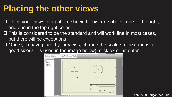### **Placing the other views**

- $\Box$  Place your views in a pattern shown below, one above, one to the right, and one in the top right corner
- $\Box$  This is considered to be the standard and will work fine in most cases, but there will be exceptions
- $\Box$  Once you have placed your views, change the scale so the cube is a good size(2:1 is used in the image below), click ok or hit enter

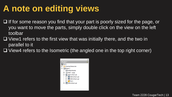### **A note on editing views**

- $\Box$  If for some reason you find that your part is poorly sized for the page, or you want to move the parts, simply double click on the view on the left toolbar
- $\Box$  View1 refers to the first view that was initially there, and the two in parallel to it
- $\Box$  View4 refers to the Isometric (the angled one in the top right corner)

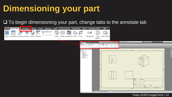## **Dimensioning your part**

#### $\Box$  To begin dimensioning your part, change tabs to the annotate tab

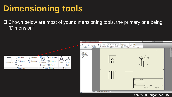### **Dimensioning tools**

 $\Box$  Shown below are most of your dimensioning tools, the primary one being "Dimension"



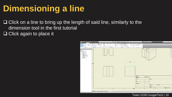### **Dimensioning a line**

 $\Box$  Click on a line to bring up the length of said line, similarly to the dimension tool in the first tutorial

 $\Box$  Click again to place it

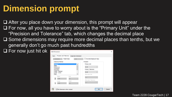### **Dimension prompt**

 $\Box$  After you place down your dimension, this prompt will appear For now, all you have to worry about is the "Primary Unit" under the "Precision and Tolerance" tab, which changes the decimal place  $\square$  Some dimensions may require more decimal places than tenths, but we generally don't go much past hundredths



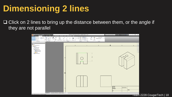### **Dimensioning 2 lines**

 $\Box$  Click on 2 lines to bring up the distance between them, or the angle if they are not parallel

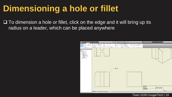#### **Dimensioning a hole or fillet**

 $\Box$  To dimension a hole or fillet, click on the edge and it will bring up its radius on a leader, which can be placed anywhere

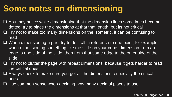#### **Some notes on dimensioning**

- You may notice while dimensioning that the dimension lines sometimes become dotted, try to place the dimensions at that that length, but its not critical
- $\Box$  Try not to make too many dimensions on the isometric, it can be confusing to read
- $\Box$  When dimensioning a part, try to do it all in reference to one point, for example when dimensioning something like the slide on your cube, dimension from an edge to one side of the slide, then from that same edge to the other side of the slide
- $\Box$  Try not to clutter the page with repeat dimensions, because it gets harder to read the critical ones
- $\Box$  Always check to make sure you got all the dimensions, especially the critical ones
- $\Box$  Use common sense when deciding how many decimal places to use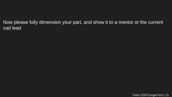Now please fully dimension your part, and show it to a mentor or the current cad lead